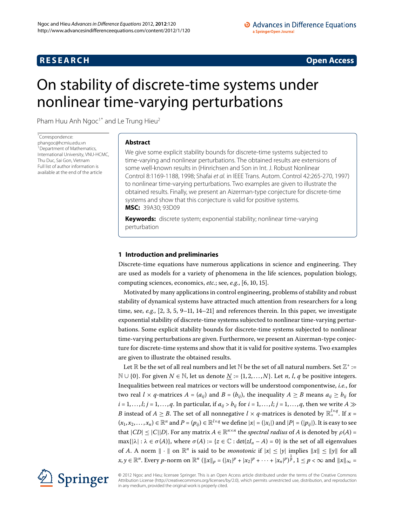## **RESEARCH CONSTRUCTED ACCESS**

# <span id="page-0-0"></span>On stability of discrete-time systems under nonlinear time-varying perturbations

Pham Huu Anh Ngoc<sup>[1](#page-9-0)[\\*](#page-0-0)</sup> and Le Trung Hieu<sup>2</sup>

\* Correspondence: [phangoc@hcmiu.edu.vn](mailto:phangoc@hcmiu.edu.vn) <sup>1</sup> Department of Mathematics, International University, VNU-HCMC, Thu Duc, Sai Gon, Vietnam Full list of author information is available at the end of the article

## **Abstract**

We give some explicit stability bounds for discrete-time systems subjected to time-varying and nonlinear perturbations. The obtained results are extensions of some well-known results in (Hinrichsen and Son in Int. J. Robust Nonlinear Control 8:1169-1188, 1998; Shafai et al. in IEEE Trans. Autom. Control 42:265-270, 1997) to nonlinear time-varying perturbations. Two examples are given to illustrate the obtained results. Finally, we present an Aizerman-type conjecture for discrete-time systems and show that this conjecture is valid for positive systems. **MSC:** 39A30; 93D09

**Keywords:** discrete system; exponential stability; nonlinear time-varying perturbation

## **1 Introduction and preliminaries**

Discrete-time equations have numerous applications in science and engineering. They are used as models for a variety of phenomena in the life sciences, population biology, computing sciences, economics, *etc.*; see, *e.g.*, [6, 10, 15].

Motivated by many applications in control engineering, problems of stability and robust stability of dynamical systems have attracted much attention from researchers for a long time[,](#page-9-9) see,  $e.g., [2, 3, 5, 9-11, 14-21]$  $e.g., [2, 3, 5, 9-11, 14-21]$  $e.g., [2, 3, 5, 9-11, 14-21]$  and references therein. In this paper, we investigate exponential stability of discrete-time systems subjected to nonlinear time-varying perturbations. Some explicit stability bounds for discrete-time systems subjected to nonlinear time-varying perturbations are given. Furthermore, we present an Aizerman-type conjecture for discrete-time systems and show that it is valid for positive systems. Two examples are given to illustrate the obtained results.

Let  $\mathbb R$  be the set of all real numbers and let  $\mathbb N$  be the set of all natural numbers. Set  $\mathbb Z^+ :=$ *N* ∪ {0}. For given *N* ∈ *N*, let us denote <u>*N*</u> := {1, 2, . . . , *N*}. Let *n*, *l*, *q* be positive integers. Inequalities between real matrices or vectors will be understood componentwise, *i.e.*, for two real  $l \times q$ -matrices  $A = (a_{ij})$  and  $B = (b_{ij})$ , the inequality  $A \geq B$  means  $a_{ij} \geq b_{ij}$  for  $i = 1, \ldots, l; j = 1, \ldots, q$ . In particular, if  $a_{ij} > b_{ij}$  for  $i = 1, \ldots, l; j = 1, \ldots, q$ , then we write  $A \gg$ *B* instead of  $A \geq B$ . The set of all nonnegative  $l \times q$ -matrices is denoted by  $\mathbb{R}^{l \times q}_{+}$ . If  $x =$  $(x_1, x_2, \ldots, x_n) \in \mathbb{R}^n$  and  $P = (p_{ij}) \in \mathbb{R}^{l \times q}$  we define  $|x| = (|x_i|)$  and  $|P| = (|p_{ij}|)$ . It is easy to see that  $|CD| \leq |C||D|$ . For any matrix  $A \in \mathbb{R}^{n \times n}$  the *spectral radius* of *A* is denoted by  $\rho(A) =$  $max\{|\lambda| : \lambda \in \sigma(A)\}$ , where  $\sigma(A) := \{z \in \mathbb{C} : \det(zI_n - A) = 0\}$  is the set of all eigenvalues of *A*. A norm  $\| \cdot \|$  on  $\mathbb{R}^n$  is said to be *monotonic* if  $|x| \le |y|$  implies  $\|x\| \le \|y\|$  for all  $x, y \in \mathbb{R}^n$ . Every *p*-norm on  $\mathbb{R}^n$  ( $||x||_p = (|x_1|^p + |x_2|^p + \cdots + |x_n|^p)^{\frac{1}{p}}, 1 \le p < \infty$  and  $||x||_{\infty} =$ 



© 2012 Ngoc and Hieu; licensee Springer. This is an Open Access article distributed under the terms of the Creative Commons Attribution License [\(http://creativecommons.org/licenses/by/2.0](http://creativecommons.org/licenses/by/2.0)), which permits unrestricted use, distribution, and reproduction in any medium, provided the original work is properly cited.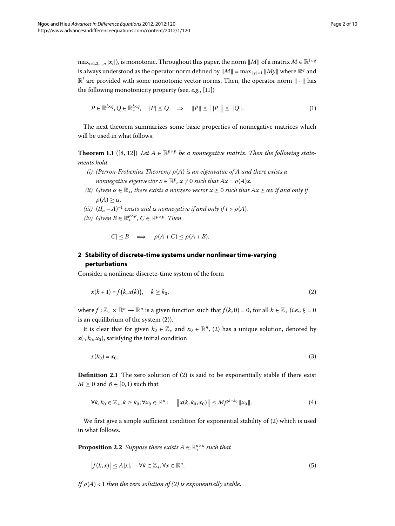$\max_{i=1,2,...,n} |x_i|$ , is monotonic. Throughout this paper, the norm  $||M||$  of a matrix  $M \in \mathbb{R}^{l \times q}$ is always understood as the operator norm defined by  $||M|| = \max_{||y||=1} ||My||$  where  $\mathbb{R}^q$  and  $\mathbb{R}^l$  are provided with some monotonic vector norms. Then, the operator norm  $\|\cdot\|$  has the following monotonicity property (see,  $e.g., [11]$  $e.g., [11]$  $e.g., [11]$ )

<span id="page-1-5"></span><span id="page-1-4"></span>
$$
P \in \mathbb{R}^{l \times q}, Q \in \mathbb{R}_{+}^{l \times q}, \quad |P| \leq Q \quad \Rightarrow \quad \|P\| \leq \|P\| \leq \|Q\|.
$$
 (1)

The next theorem summarizes some basic properties of nonnegative matrices which will be used in what follows.

**Theorem 1.1** ([8[,](#page-9-12) 12]) Let  $A \in \mathbb{R}^{p \times p}$  be a nonnegative matrix. Then the following state*ments hold.*

- *(i) (Perron-Frobenius Theorem) ρ*(*A*) *is an eigenvalue of A and there exists a nonnegative eigenvector*  $x \in \mathbb{R}^p$ ,  $x \neq 0$  such that  $Ax = \rho(A)x$ .
- *(ii)* Given  $\alpha \in \mathbb{R}_+$ , there exists a nonzero vector  $x \geq 0$  such that  $Ax \geq \alpha x$  if and only if  $\rho(A) > \alpha$ *.*
- *(iii)*  $(tI_n A)^{-1}$  exists and is nonnegative if and only if  $t > \rho(A)$ .
- *(iv) Given*  $B \in \mathbb{R}_+^{p \times p}$ ,  $C \in \mathbb{R}^{p \times p}$ . Then

<span id="page-1-1"></span><span id="page-1-0"></span>
$$
|C| \leq B \quad \Longrightarrow \quad \rho(A+C) \leq \rho(A+B).
$$

## **2 Stability of discrete-time systems under nonlinear time-varying perturbations**

Consider a nonlinear discrete-time system of the form

$$
x(k+1) = f(k, x(k)), \quad k \ge k_0,
$$
\n(2)

where  $f : \mathbb{Z}_+ \times \mathbb{R}^n \to \mathbb{R}^n$  is a given function such that  $f(k, 0) = 0$ , for all  $k \in \mathbb{Z}_+$  (*i.e.*,  $\xi = 0$ is an equilibrium of the system  $(2)$  $(2)$ ).

It is clear that for given  $k_0 \in \mathbb{Z}_+$  and  $x_0 \in \mathbb{R}^n$ , (2[\)](#page-1-0) has a unique solution, denoted by  $x(\cdot, k_0, x_0)$ , satisfying the initial condition

$$
x(k_0) = x_0. \tag{3}
$$

<span id="page-1-3"></span>**Definition 2.1** The zero solution of (2) is said to be exponentially stable if there exist  $M \geq 0$  and  $\beta \in [0, 1)$  such that

<span id="page-1-2"></span>
$$
\forall k, k_0 \in \mathbb{Z}_+, k \ge k_0; \forall x_0 \in \mathbb{R}^n: \quad \|x(k, k_0, x_0)\| \le M \beta^{k - k_0} \|x_0\|.
$$
 (4)

We first give a simple sufficient condition for exponential stability of  $(2)$  $(2)$  which is used in what follows.

**Proposition 2.2** Suppose there exists  $A \in \mathbb{R}^{n \times n}$  such that

$$
|f(k,x)| \le A|x|, \quad \forall k \in \mathbb{Z}_+, \forall x \in \mathbb{R}^n. \tag{5}
$$

*If*  $\rho(A)$  $\rho(A)$  < 1 then the zero solution of (2) is exponentially stable.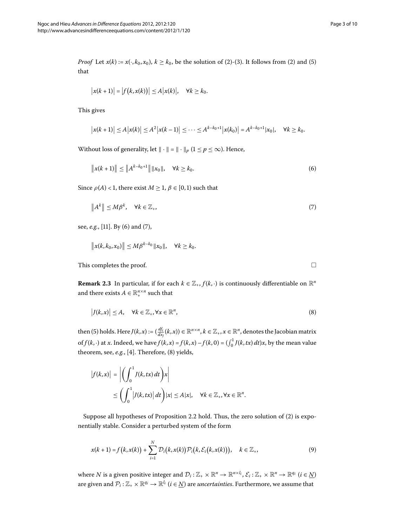<span id="page-2-3"></span><span id="page-2-2"></span><span id="page-2-1"></span><span id="page-2-0"></span> $\Box$ 

*Proof* Let  $x(k) := x(\cdot, k_0, x_0)$  $x(k) := x(\cdot, k_0, x_0)$  $x(k) := x(\cdot, k_0, x_0)$ ,  $k \ge k_0$ , be the solution of (2)-(3). It follows from (2) and (5) that

$$
|x(k+1)| = |f(k, x(k))| \le A |x(k)|, \quad \forall k \ge k_0.
$$

This gives

$$
\left|x(k+1)\right| \le A\left|x(k)\right| \le A^2\left|x(k-1)\right| \le \cdots \le A^{k-k_0+1}\left|x(k_0)\right| = A^{k-k_0+1}\left|x_0\right|, \quad \forall k \ge k_0.
$$

Without loss of generality, let  $\|\cdot\| = \|\cdot\|_p$  ( $1 \le p \le \infty$ ). Hence,

$$
||x(k+1)|| \le ||A^{k-k_0+1}|| \, ||x_0||, \quad \forall k \ge k_0.
$$
\n<sup>(6)</sup>

Since  $\rho(A) < 1$ , there exist  $M \geq 1$ ,  $\beta \in [0, 1)$  such that

$$
||A^k|| \le M\beta^k, \quad \forall k \in \mathbb{Z}_+, \tag{7}
$$

see, *e.g.*, [11]. By [\(](#page-2-0)6[\)](#page-2-1) and (7),

$$
||x(k, k_0, x_0)|| \le M\beta^{k-k_0} ||x_0||, \quad \forall k \ge k_0.
$$

This completes the proof. -

**Remark 2.3** In particular, if for each  $k \in \mathbb{Z}_+$ ,  $f(k, \cdot)$  is continuously differentiable on  $\mathbb{R}^n$ and there exists  $A \in \mathbb{R}^{n \times n}_{+}$  such that

$$
|J(k,x)| \le A, \quad \forall k \in \mathbb{Z}_+, \forall x \in \mathbb{R}^n,
$$
\n(8)

then (5[\)](#page-1-2) holds. Here  $J(k, x) := (\frac{df_i}{dx_j}(k, x)) \in \R^{n \times n}, k \in \Z_+, x \in \R^n,$  denotes the Jacobian matrix of  $f(k, \cdot)$  at *x*. Indeed, we have  $f(k, x) = f(k, x) - f(k, 0) = \left(\int_0^1 J(k, tx) dt\right)x$ , by the mean value theorem, see, e.g., [4[\]](#page-9-14). Therefore, (8[\)](#page-2-2) yields,

$$
|f(k,x)| = \left| \left( \int_0^1 J(k, tx) dt \right) x \right|
$$
  
 
$$
\leq \left( \int_0^1 |J(k, tx)| dt \right) |x| \leq A|x|, \quad \forall k \in \mathbb{Z}_+, \forall x \in \mathbb{R}^n.
$$

Suppose all hypotheses of Proposition 2[.](#page-1-3)2 hold. Thus, the zero solution of  $(2)$  $(2)$  is exponentially stable. Consider a perturbed system of the form

$$
x(k+1) = f(k, x(k)) + \sum_{i=1}^{N} \mathcal{D}_i(k, x(k)) \mathcal{P}_i(k, \mathcal{E}_i(k, x(k))), \quad k \in \mathbb{Z}_+, \tag{9}
$$

where *N* is a given positive integer and  $\mathcal{D}_i : \mathbb{Z}_+ \times \mathbb{R}^n \to \mathbb{R}^{n \times l_i}$ ,  $\mathcal{E}_i : \mathbb{Z}_+ \times \mathbb{R}^n \to \mathbb{R}^{q_i}$  ( $i \in N$ ) are given and  $\mathcal{P}_i : \mathbb{Z}_+ \times \mathbb{R}^{q_i} \to \mathbb{R}^{l_i}$  ( $i \in \underline{N}$ ) are *uncertainties*. Furthermore, we assume that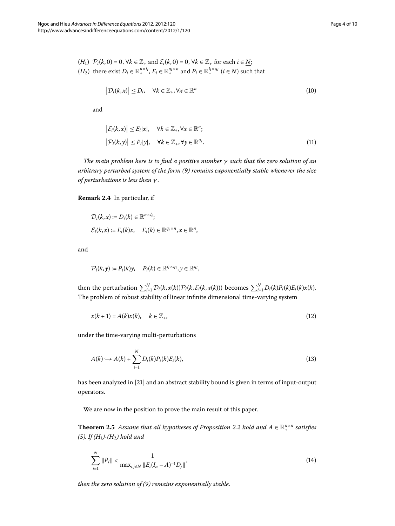<span id="page-3-1"></span>
$$
(H_1) \quad \mathcal{P}_i(k,0) = 0, \forall k \in \mathbb{Z}_+ \text{ and } \mathcal{E}_i(k,0) = 0, \forall k \in \mathbb{Z}_+ \text{ for each } i \in \underline{N};
$$
  

$$
(H_2) \text{ there exist } D_i \in \mathbb{R}_+^{n \times l_i}, E_i \in \mathbb{R}_+^{q_i \times n} \text{ and } P_i \in \mathbb{R}_+^{l_i \times q_i} \text{ (}i \in \underline{N}\text{) such that}
$$

<span id="page-3-0"></span>
$$
\left| \mathcal{D}_i(k, x) \right| \le D_i, \quad \forall k \in \mathbb{Z}_+, \forall x \in \mathbb{R}^n \tag{10}
$$

and

$$
\left| \mathcal{E}_i(k, x) \right| \le E_i|x|, \quad \forall k \in \mathbb{Z}_+, \forall x \in \mathbb{R}^n; \left| \mathcal{P}_i(k, y) \right| \le P_i|y|, \quad \forall k \in \mathbb{Z}_+, \forall y \in \mathbb{R}^{q_i}.
$$
 (11)

*The main problem here is to find a positive number γ such that the zero solution of an arbitrary perturbed system of the form () remains exponentially stable whenever the size of perturbations is less than γ* .

**Remark 2.4** In particular, if

$$
D_i(k, x) := D_i(k) \in \mathbb{R}^{n \times l_i};
$$
  

$$
\mathcal{E}_i(k, x) := E_i(k)x, \quad E_i(k) \in \mathbb{R}^{q_i \times n}, x \in \mathbb{R}^n,
$$

and

<span id="page-3-3"></span>
$$
\mathcal{P}_i(k,y) := P_i(k)y, \quad P_i(k) \in \mathbb{R}^{l_i \times q_i}, y \in \mathbb{R}^{q_i},
$$

then the perturbation  $\sum_{i=1}^{N} \mathcal{D}_i(k, x(k)) \mathcal{P}_i(k, \mathcal{E}_i(k, x(k)))$  becomes  $\sum_{i=1}^{N} D_i(k) P_i(k) E_i(k) x(k)$ . The problem of robust stability of linear infinite dimensional time-varying system

$$
x(k+1) = A(k)x(k), \quad k \in \mathbb{Z}_+, \tag{12}
$$

under the time-varying multi-perturbations

<span id="page-3-2"></span>
$$
A(k) \hookrightarrow A(k) + \sum_{i=1}^{N} D_i(k) P_i(k) E_i(k), \tag{13}
$$

<span id="page-3-4"></span>has been analyzed in [\[](#page-9-11)21] and an abstract stability bound is given in terms of input-output operators.

We are now in the position to prove the main result of this paper.

**Theorem 2[.](#page-1-3)5** Assume that all hypotheses of Proposition 2.2 hold and  $A \in \mathbb{R}_+^{n \times n}$  satisfies *([\)](#page-1-2). If (H)-(H) hold and*

$$
\sum_{i=1}^{N} \|P_i\| < \frac{1}{\max_{i,j \in \underline{N}} \|E_i(I_n - A)^{-1} D_j\|},\tag{14}
$$

*then the zero solution of ([\)](#page-2-3) remains exponentially stable.*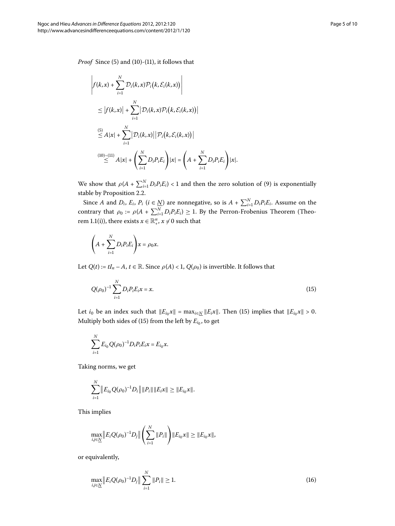*Proof* Since [\(](#page-3-0)5) and (10)-(11), it follows that

$$
\left| f(k,x) + \sum_{i=1}^{N} \mathcal{D}_i(k,x) \mathcal{P}_i(k,\mathcal{E}_i(k,x)) \right|
$$
  
\n
$$
\leq \left| f(k,x) \right| + \sum_{i=1}^{N} \left| \mathcal{D}_i(k,x) \mathcal{P}_i(k,\mathcal{E}_i(k,x)) \right|
$$
  
\n
$$
\stackrel{(5)}{\leq} A|x| + \sum_{i=1}^{N} \left| \mathcal{D}_i(k,x) \right| \left| \mathcal{P}_i(k,\mathcal{E}_i(k,x)) \right|
$$
  
\n
$$
\stackrel{(10)-(11)}{\leq} A|x| + \left( \sum_{i=1}^{N} D_i P_i E_i \right) |x| = \left( A + \sum_{i=1}^{N} D_i P_i E_i \right) |x|.
$$

We show that  $\rho(A + \sum_{i=1}^{N} D_i P_i E_i) < 1$  $\rho(A + \sum_{i=1}^{N} D_i P_i E_i) < 1$  $\rho(A + \sum_{i=1}^{N} D_i P_i E_i) < 1$  and then the zero solution of (9) is exponentially stable by Proposition 2.2.

Since *A* and  $D_i$ ,  $E_i$ ,  $P_i$  ( $i \in \underline{N}$ ) are nonnegative, so is  $A + \sum_{i=1}^{N} D_i P_i E_i$ . Assume on the contrary that  $\rho_0 := \rho(A + \sum_{i=1}^{N} D_i P_i E_i) \geq 1$ . By the Perron-Frobenius Theorem (Theorem 1.1(i)), there exists  $x \in \mathbb{R}^n_+$ ,  $x \neq 0$  such that

<span id="page-4-0"></span>
$$
\left(A+\sum_{i=1}^N D_iP_iE_i\right)x=\rho_0x.
$$

Let  $Q(t) := tI_n - A$ ,  $t \in \mathbb{R}$ . Since  $\rho(A) < 1$ ,  $Q(\rho_0)$  is invertible. It follows that

$$
Q(\rho_0)^{-1} \sum_{i=1}^{N} D_i P_i E_i x = x.
$$
\n(15)

Let *i*<sub>0</sub> be an index such that  $||E_{i_0}x|| = \max_{i \in \mathbb{N}} ||E_i x||$ . Then [\(](#page-4-0)15) implies that  $||E_{i_0}x|| > 0$ . Multiply both sides of (15[\)](#page-4-0) from the left by  $E_{i_0}$ , to get

$$
\sum_{i=1}^{N} E_{i_0} Q(\rho_0)^{-1} D_i P_i E_i x = E_{i_0} x.
$$

Taking norms, we get

$$
\sum_{i=1}^N ||E_{i_0}Q(\rho_0)^{-1}D_i|| ||P_i|| ||E_i x|| \geq ||E_{i_0}x||.
$$

This implies

<span id="page-4-1"></span>
$$
\max_{i,j\in\underline{N}}\|E_iQ(\rho_0)^{-1}D_j\|\left(\sum_{i=1}^N\|P_i\|\right)\|E_{i_0}x\|\geq\|E_{i_0}x\|,
$$

or equivalently,

$$
\max_{i,j\in\underline{N}}\|E_iQ(\rho_0)^{-1}D_j\|\sum_{i=1}^N\|P_i\|\ge1.
$$
\n(16)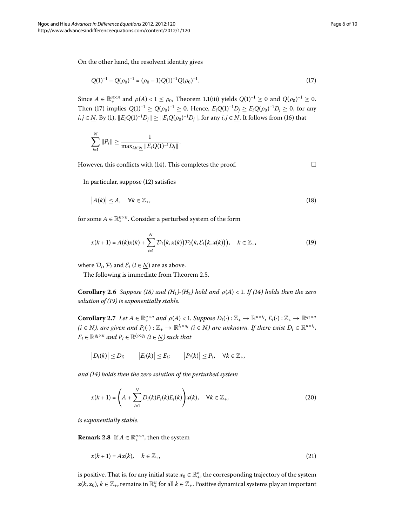<span id="page-5-2"></span><span id="page-5-1"></span><span id="page-5-0"></span> $\Box$ 

On the other hand, the resolvent identity gives

$$
Q(1)^{-1} - Q(\rho_0)^{-1} = (\rho_0 - 1)Q(1)^{-1}Q(\rho_0)^{-1}.
$$
\n(17)

Since  $A \in \mathbb{R}_+^{n \times n}$  and  $\rho(A) < 1 \le \rho_0$ , Theorem 1.1(iii) yields  $Q(1)^{-1} \ge 0$  and  $Q(\rho_0)^{-1} \ge 0$ . Then (17[\)](#page-5-0) implies  $Q(1)^{-1} \geq Q(\rho_0)^{-1} \geq 0$ . Hence,  $E_iQ(1)^{-1}D_j \geq E_iQ(\rho_0)^{-1}D_j \geq 0$ , for any *i*, *j* ∈ <u>*N*</u>. By [\(](#page-1-5)1),  $||E_iQ(1)^{-1}D_j|| \ge ||E_iQ(\rho_0)^{-1}D_j||$ , for any *i*, *j* ∈ <u>*N*</u>. It follows from (16) that

$$
\sum_{i=1}^N \|P_i\| \ge \frac{1}{\max_{i,j \in \underline{N}} \|E_i Q (1)^{-1} D_j\|}.
$$

However, this conflicts with [\(](#page-3-2)14). This completes the proof.

In particular, suppose  $(12)$  $(12)$  satisfies

$$
|A(k)| \le A, \quad \forall k \in \mathbb{Z}_+, \tag{18}
$$

<span id="page-5-6"></span>for some  $A \in \mathbb{R}_+^{n \times n}$ . Consider a perturbed system of the form

$$
x(k+1) = A(k)x(k) + \sum_{i=1}^{N} D_i(k, x(k)) \mathcal{P}_i(k, \mathcal{E}_i(k, x(k))), \quad k \in \mathbb{Z}_+,
$$
 (19)

<span id="page-5-4"></span>where  $\mathcal{D}_i$ ,  $\mathcal{P}_i$  and  $\mathcal{E}_i$  ( $i \in \mathbb{N}$ ) are as above.

The following is immediate from Theorem 2[.](#page-3-4)5.

**Corollary 2.6** *Suppose* (18) *and* ( $H_1$ )-( $H_2$ ) *hold and*  $\rho(A) < 1$ . If (14) *holds then the zero solution of ([\)](#page-5-2) is exponentially stable.*

**Corollary 2.7** Let  $A \in \mathbb{R}_{+}^{n \times n}$  and  $\rho(A) < 1$ . Suppose  $D_i(\cdot): \mathbb{Z}_+ \to \mathbb{R}^{n \times l_i}$ ,  $E_i(\cdot): \mathbb{Z}_+ \to \mathbb{R}^{q_i \times n_i}$  $(i \in N)$ , are given and  $P_i(\cdot): \mathbb{Z}_+ \to \mathbb{R}^{l_i \times q_i}$   $(i \in N)$  are unknown. If there exist  $D_i \in \mathbb{R}^{n \times l_i}$ ,  $E_i \in \mathbb{R}^{q_i \times n}$  and  $P_i \in \mathbb{R}^{l_i \times q_i}$  ( $i \in N$ ) such that

$$
|D_i(k)| \le D_i; \qquad |E_i(k)| \le E_i; \qquad |P_i(k)| \le P_i, \quad \forall k \in \mathbb{Z}_+,
$$

<span id="page-5-5"></span>*and ([\)](#page-3-2) holds then the zero solution of the perturbed system*

<span id="page-5-3"></span>
$$
x(k+1) = \left(A + \sum_{i=1}^{N} D_i(k)P_i(k)E_i(k)\right)x(k), \quad \forall k \in \mathbb{Z}_+,
$$
\n
$$
(20)
$$

*is exponentially stable.*

**Remark 2.8** If  $A \in \mathbb{R}^{n \times n}_{+}$ , then the system

$$
x(k+1) = Ax(k), \quad k \in \mathbb{Z}_+, \tag{21}
$$

is positive. That is, for any initial state  $x_0 \in \mathbb{R}^n_+$ , the corresponding trajectory of the system  $x(k, x_0)$ ,  $k \in \mathbb{Z}_+$ , remains in  $\mathbb{R}^n_+$  for all  $k \in \mathbb{Z}_+$ . Positive dynamical systems play an important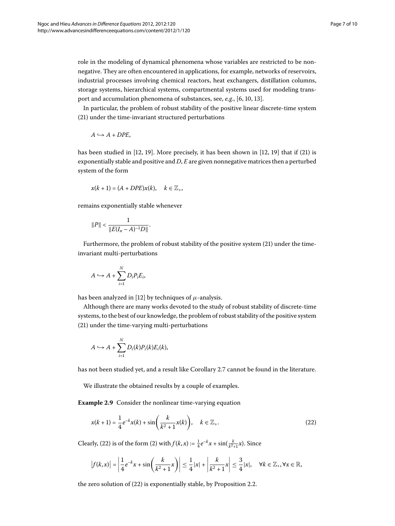role in the modeling of dynamical phenomena whose variables are restricted to be nonnegative. They are often encountered in applications, for example, networks of reservoirs, industrial processes involving chemical reactors, heat exchangers, distillation columns, storage systems, hierarchical systems, compartmental systems used for modeling trans-port and accumulation phenomena of substances[,](#page-9-3) see, *e.g.*, [6, 10, 13[\]](#page-9-15).

In particular, the problem of robust stability of the positive linear discrete-time system (21[\)](#page-5-3) under the time-invariant structured perturbations

$$
A \hookrightarrow A + DPE,
$$

has been studied in  $[12, 19]$  $[12, 19]$ . More precisely[,](#page-9-13) it has been shown in  $[12, 19]$  that if  $(21)$  is exponentially stable and positive and *D*, *E* are given nonnegative matrices then a perturbed system of the form

$$
x(k+1) = (A + DPE)x(k), \quad k \in \mathbb{Z}_+,
$$

remains exponentially stable whenever

$$
||P|| < \frac{1}{||E(I_n - A)^{-1}D||}.
$$

Furthermore, the problem of robust stability of the positive system [\(](#page-5-3)21) under the timeinvariant multi-perturbations

$$
A \hookrightarrow A + \sum_{i=1}^{N} D_i P_i E_i,
$$

has been analyzed in [\[](#page-9-13)12] by techniques of  $\mu$ -analysis.

Although there are many works devoted to the study of robust stability of discrete-time systems, to the best of our knowledge, the problem of robust stability of the positive system (21[\)](#page-5-3) under the time-varying multi-perturbations

<span id="page-6-0"></span>
$$
A \hookrightarrow A + \sum_{i=1}^N D_i(k) P_i(k) E_i(k),
$$

has not been studied yet, and a result like Corollary 2[.](#page-5-4)7 cannot be found in the literature.

We illustrate the obtained results by a couple of examples.

**Example 2.9** Consider the nonlinear time-varying equation

$$
x(k+1) = \frac{1}{4}e^{-k}x(k) + \sin\left(\frac{k}{k^2+1}x(k)\right), \quad k \in \mathbb{Z}_+.
$$
 (22)

Clearly, (22[\)](#page-6-0) is of the form [\(](#page-1-0)2) with  $f(k, x) := \frac{1}{4}e^{-k}x + \sin(\frac{k}{k^2+1}x)$ . Since

$$
\left|f(k,x)\right| = \left|\frac{1}{4}e^{-k}x + \sin\left(\frac{k}{k^2+1}x\right)\right| \le \frac{1}{4}|x| + \left|\frac{k}{k^2+1}x\right| \le \frac{3}{4}|x|, \quad \forall k \in \mathbb{Z}_+, \forall x \in \mathbb{R},
$$

the zero solution of  $(22)$  $(22)$  is exponentially stable, by Proposition 2[.](#page-1-3)2.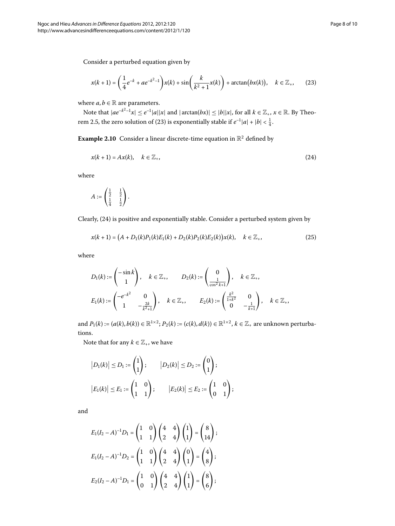Consider a perturbed equation given by

<span id="page-7-1"></span><span id="page-7-0"></span>
$$
x(k+1) = \left(\frac{1}{4}e^{-k} + ae^{-k^2-1}\right)x(k) + \sin\left(\frac{k}{k^2+1}x(k)\right) + \arctan(bx(k)), \quad k \in \mathbb{Z}_+, \tag{23}
$$

where  $a, b \in \mathbb{R}$  are parameters.

Note that  $|ae^{-k^2-1}x| \leq e^{-1}|a||x|$  and  $|arctan(bx)| \leq |b||x|$ , for all  $k \in \mathbb{Z}_+$ ,  $x \in \mathbb{R}$ . By Theo-rem 2[.](#page-3-4)5, the zero solution of [\(](#page-7-0)23) is exponentially stable if  $e^{-1}|a| + |b| < \frac{1}{4}$ .

**Example 2.10** Consider a linear discrete-time equation in  $\mathbb{R}^2$  defined by

$$
x(k+1) = Ax(k), \quad k \in \mathbb{Z}_+, \tag{24}
$$

where

<span id="page-7-2"></span>
$$
A:=\begin{pmatrix}\frac{1}{2} & \frac{1}{2} \\ \frac{1}{4} & \frac{1}{2}\end{pmatrix}.
$$

Clearly, (24) is positive and exponentially stable. Consider a perturbed system given by

$$
x(k+1) = (A + D_1(k)P_1(k)E_1(k) + D_2(k)P_2(k)E_2(k))x(k), \quad k \in \mathbb{Z}_+,
$$
\n(25)

where

$$
D_1(k) := \begin{pmatrix} -\sin k \\ 1 \end{pmatrix}, \quad k \in \mathbb{Z}_+, \qquad D_2(k) := \begin{pmatrix} 0 \\ \frac{1}{\cos^2 k + 1} \end{pmatrix}, \quad k \in \mathbb{Z}_+, \\ E_1(k) := \begin{pmatrix} -e^{-k^2} & 0 \\ 1 & -\frac{2k}{k^2 + 1} \end{pmatrix}, \quad k \in \mathbb{Z}_+, \qquad E_2(k) := \begin{pmatrix} \frac{k^2}{1 + k^2} & 0 \\ 0 & -\frac{1}{k + 1} \end{pmatrix}, \quad k \in \mathbb{Z}_+,
$$

and  $P_1(k) := (a(k), b(k)) \in \mathbb{R}^{1 \times 2}$ ;  $P_2(k) := (c(k), d(k)) \in \mathbb{R}^{1 \times 2}$ ,  $k \in \mathbb{Z}_+$  are unknown perturbations.

Note that for any  $k \in \mathbb{Z}_+$ , we have

$$
|D_1(k)| \le D_1 := \begin{pmatrix} 1 \\ 1 \end{pmatrix}; \qquad |D_2(k)| \le D_2 := \begin{pmatrix} 0 \\ 1 \end{pmatrix};
$$
  

$$
|E_1(k)| \le E_1 := \begin{pmatrix} 1 & 0 \\ 1 & 1 \end{pmatrix}; \qquad |E_2(k)| \le E_2 := \begin{pmatrix} 1 & 0 \\ 0 & 1 \end{pmatrix};
$$

and

$$
E_1(I_2 - A)^{-1}D_1 = \begin{pmatrix} 1 & 0 \\ 1 & 1 \end{pmatrix} \begin{pmatrix} 4 & 4 \\ 2 & 4 \end{pmatrix} \begin{pmatrix} 1 \\ 1 \end{pmatrix} = \begin{pmatrix} 8 \\ 14 \end{pmatrix};
$$
  
\n
$$
E_1(I_2 - A)^{-1}D_2 = \begin{pmatrix} 1 & 0 \\ 1 & 1 \end{pmatrix} \begin{pmatrix} 4 & 4 \\ 2 & 4 \end{pmatrix} \begin{pmatrix} 0 \\ 1 \end{pmatrix} = \begin{pmatrix} 4 \\ 8 \end{pmatrix};
$$
  
\n
$$
E_2(I_2 - A)^{-1}D_1 = \begin{pmatrix} 1 & 0 \\ 0 & 1 \end{pmatrix} \begin{pmatrix} 4 & 4 \\ 2 & 4 \end{pmatrix} \begin{pmatrix} 1 \\ 1 \end{pmatrix} = \begin{pmatrix} 8 \\ 6 \end{pmatrix};
$$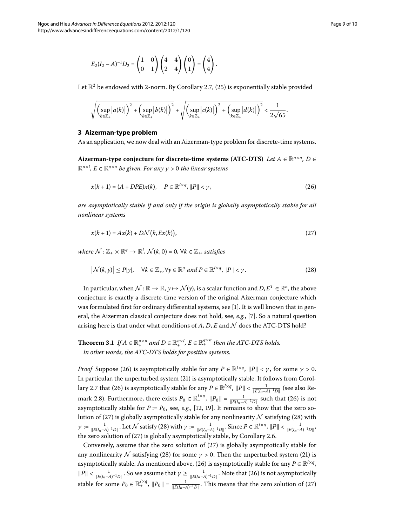$$
E_2(I_2-A)^{-1}D_2=\begin{pmatrix}1&0\\0&1\end{pmatrix}\begin{pmatrix}4&4\\2&4\end{pmatrix}\begin{pmatrix}0\\1\end{pmatrix}=\begin{pmatrix}4\\4\end{pmatrix}.
$$

Let  $\mathbb{R}^2$  be endowed with 2-norm[.](#page-5-4) By Corollary 2.7, (25[\)](#page-7-2) is exponentially stable provided

<span id="page-8-0"></span>
$$
\sqrt{\left(\sup_{k\in\mathbb{Z}_+}\left|a(k)\right|\right)^2+\left(\sup_{k\in\mathbb{Z}_+}\left|b(k)\right|\right)^2}+\sqrt{\left(\sup_{k\in\mathbb{Z}_+}\left|c(k)\right|\right)^2+\left(\sup_{k\in\mathbb{Z}_+}\left|d(k)\right|\right)^2}<\frac{1}{2\sqrt{65}}.
$$

## **3 Aizerman-type problem**

As an application, we now deal with an Aizerman-type problem for discrete-time systems.

**Aizerman-type conjecture for discrete-time systems (ATC-DTS)** Let  $A \in \mathbb{R}^{n \times n}$ ,  $D \in$ R*<sup>n</sup>*×*<sup>l</sup> , E* <sup>∈</sup> <sup>R</sup>*<sup>q</sup>*×*<sup>n</sup> be given. For any <sup>γ</sup>* > *the linear systems*

<span id="page-8-2"></span><span id="page-8-1"></span>
$$
x(k+1) = (A + DPE)x(k), \quad P \in \mathbb{R}^{l \times q}, ||P|| < \gamma,
$$
\n(26)

*are asymptotically stable if and only if the origin is globally asymptotically stable for all nonlinear systems*

$$
x(k+1) = Ax(k) + D\mathcal{N}(k, Ex(k)),
$$
\n(27)

 $where \ N: \mathbb{Z}_+ \times \mathbb{R}^q \to \mathbb{R}^l$ ,  $\mathcal{N}(k,0) = 0$ ,  $\forall k \in \mathbb{Z}_+$ , satisfies

$$
\left|\mathcal{N}(k,y)\right| \le P|y|, \quad \forall k \in \mathbb{Z}_+, \forall y \in \mathbb{R}^q \text{ and } P \in \mathbb{R}^{l \times q}, \|P\| < \gamma.
$$
 (28)

In particular, when  $\mathcal{N} : \mathbb{R} \to \mathbb{R}$ ,  $\gamma \mapsto \mathcal{N}(\gamma)$ , is a scalar function and  $D, E^T \in \mathbb{R}^n$ , the above conjecture is exactly a discrete-time version of the original Aizerman conjecture which was formulated first for ordinary differential systems, see [\[](#page-9-17)1]. It is well known that in gen-eral, the Aizerman classical conjecture does not hold, see, e.g., [\[](#page-9-18)7]. So a natural question arising here is that under what conditions of  $A$ ,  $D$ ,  $E$  and  $N$  does the ATC-DTS hold?

## **Theorem 3.1** If  $A \in \mathbb{R}_+^{n \times n}$  and  $D \in \mathbb{R}_+^{n \times l}$ ,  $E \in \mathbb{R}_+^{q \times n}$  then the ATC-DTS holds. *In other words, the ATC-DTS holds for positive systems.*

*Proof* Suppose (26) is asymptotically stable for any  $P \in \mathbb{R}^{l \times q}$ ,  $||P|| < \gamma$ , for some  $\gamma > 0$ . In particular, the unperturbed system [\(](#page-5-3)21) is asymptotically stable. It follows from Corol-lary 2[.](#page-5-4)7 that (26) is asymptotically stable for any  $P \in \mathbb{R}^{l \times q}$ ,  $\|P\| < \frac{1}{\|E(I_n-A)^{-1}D\|}$  (see also Re-mark 2[.](#page-5-5)8). Furthermore, there exists  $P_0 \in \mathbb{R}_+^{l \times q}$ ,  $||P_0|| = \frac{1}{||E(I_n - A)^{-1}D||}$  such that (26) is not asymptotically stable for  $P := P_0$ , see, *e.g.*, [\[](#page-9-13)12, 19[\]](#page-9-16). It remains to show that the zero so-lution of [\(](#page-8-2)27) is globally asymptotically stable for any nonlinearity  $\cal N$  satisfying (28) with  $\gamma := \frac{1}{\|E(I_n-A)^{-1}D\|}$  $\gamma := \frac{1}{\|E(I_n-A)^{-1}D\|}$  $\gamma := \frac{1}{\|E(I_n-A)^{-1}D\|}$ . Let  $\mathcal N$  satisfy (28) with  $\gamma := \frac{1}{\|E(I_n-A)^{-1}D\|}$ . Since  $P \in \mathbb R^{l \times q}$ ,  $\|P\| < \frac{1}{\|E(I_n-A)^{-1}D\|}$ , the zero solution of  $(27)$  $(27)$  is globally asymptotically stable, by Corollary 2[.](#page-5-6)6.

Conversely, assume that the zero solution of  $(27)$  $(27)$  is globally asymptotically stable for any nonlinearity  $N$  satisfying (28[\)](#page-5-3) for some  $\gamma > 0$ . Then the unperturbed system (21) is asymptotically stable. As mentioned above, [\(](#page-8-0)26) is asymptotically stable for any  $P \in \mathbb{R}^{l \times q}$ ,  $||P|| < \frac{1}{||E(I_n-A)^{-1}D||}$ . So we assume that  $γ ≥ \frac{1}{||E(I_n-A)^{-1}D||}$ . Note that (26) is not asymptotically stable for some  $P_0 \in \mathbb{R}_+^{l \times q}$ ,  $||P_0|| = \frac{1}{||E(I_n - A)^{-1}D||}$ . This means that the zero solution of (27)